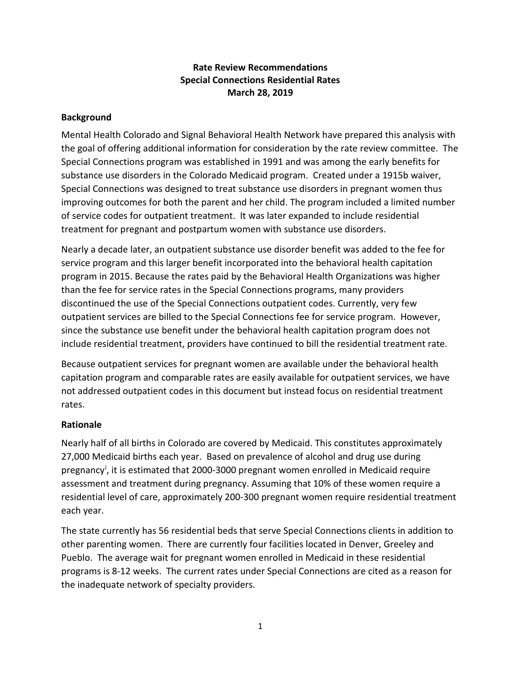# **Rate Review Recommendations Special Connections Residential Rates March 28, 2019**

### **Background**

Mental Health Colorado and Signal Behavioral Health Network have prepared this analysis with the goal of offering additional information for consideration by the rate review committee. The Special Connections program was established in 1991 and was among the early benefits for substance use disorders in the Colorado Medicaid program. Created under a 1915b waiver, Special Connections was designed to treat substance use disorders in pregnant women thus improving outcomes for both the parent and her child. The program included a limited number of service codes for outpatient treatment. It was later expanded to include residential treatment for pregnant and postpartum women with substance use disorders.

Nearly a decade later, an outpatient substance use disorder benefit was added to the fee for service program and this larger benefit incorporated into the behavioral health capitation program in 2015. Because the rates paid by the Behavioral Health Organizations was higher than the fee for service rates in the Special Connections programs, many providers discontinued the use of the Special Connections outpatient codes. Currently, very few outpatient services are billed to the Special Connections fee for service program. However, since the substance use benefit under the behavioral health capitation program does not include residential treatment, providers have continued to bill the residential treatment rate.

Because outpatient services for pregnant women are available under the behavioral health capitation program and comparable rates are easily available for outpatient services, we have not addressed outpatient codes in this document but instead focus on residential treatment rates.

#### **Rationale**

Nearly half of all births in Colorado are covered by Medicaid. This constitutes approximately 27,000 Medicaid births each year. Based on prevalence of alcohol and drug use during pregnancy<sup>i</sup>, it is estimated that 2000-3000 pregnant women enrolled in Medicaid require assessment and treatment during pregnancy. Assuming that 10% of these women require a residential level of care, approximately 200-300 pregnant women require residential treatment each year.

The state currently has 56 residential beds that serve Special Connections clients in addition to other parenting women. There are currently four facilities located in Denver, Greeley and Pueblo. The average wait for pregnant women enrolled in Medicaid in these residential programs is 8-12 weeks. The current rates under Special Connections are cited as a reason for the inadequate network of specialty providers.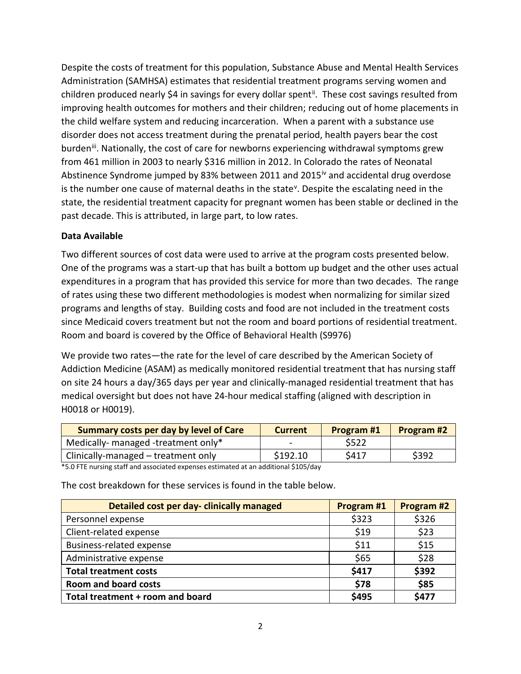Despite the costs of treatment for this population, Substance Abuse and Mental Health Services Administration (SAMHSA) estimates that residential treatment programs serving women and children produced nearly \$4 in savings for every dollar spent<sup>[ii](#page-2-1)</sup>. These cost savings resulted from improving health outcomes for mothers and their children; reducing out of home placements in the child welfare system and reducing incarceration. When a parent with a substance use disorder does not access treatment during the prenatal period, health payers bear the cost burden<sup>[iii](#page-2-2)</sup>. Nationally, the cost of care for newborns experiencing withdrawal symptoms grew from 461 million in 2003 to nearly \$316 million in 2012. In Colorado the rates of Neonatal Abstinence Syndrome jumped by 83% between 2011 and 2015<sup>[iv](#page-2-3)</sup> and accidental drug overdose is the number one cause of maternal deaths in the state<sup>[v](#page-2-4)</sup>. Despite the escalating need in the state, the residential treatment capacity for pregnant women has been stable or declined in the past decade. This is attributed, in large part, to low rates.

## **Data Available**

Two different sources of cost data were used to arrive at the program costs presented below. One of the programs was a start-up that has built a bottom up budget and the other uses actual expenditures in a program that has provided this service for more than two decades. The range of rates using these two different methodologies is modest when normalizing for similar sized programs and lengths of stay. Building costs and food are not included in the treatment costs since Medicaid covers treatment but not the room and board portions of residential treatment. Room and board is covered by the Office of Behavioral Health (S9976)

We provide two rates—the rate for the level of care described by the American Society of Addiction Medicine (ASAM) as medically monitored residential treatment that has nursing staff on site 24 hours a day/365 days per year and clinically-managed residential treatment that has medical oversight but does not have 24-hour medical staffing (aligned with description in H0018 or H0019).

| <b>Summary costs per day by level of Care</b> | <b>Current</b> | <b>Program#1</b> | <b>Program #2</b> |
|-----------------------------------------------|----------------|------------------|-------------------|
| Medically- managed -treatment only*           |                | \$522            |                   |
| Clinically-managed – treatment only           | \$192.10       | \$417            | \$392             |

\*5.0 FTE nursing staff and associated expenses estimated at an additional \$105/day

The cost breakdown for these services is found in the table below.

| Detailed cost per day-clinically managed | Program #1 | Program #2 |
|------------------------------------------|------------|------------|
| Personnel expense                        | \$323      | \$326      |
| Client-related expense                   | \$19       | \$23       |
| Business-related expense                 | \$11       | \$15       |
| Administrative expense                   | \$65       | \$28       |
| <b>Total treatment costs</b>             | \$417      | \$392      |
| <b>Room and board costs</b>              | \$78       | \$85       |
| Total treatment + room and board         | \$495      | \$477      |